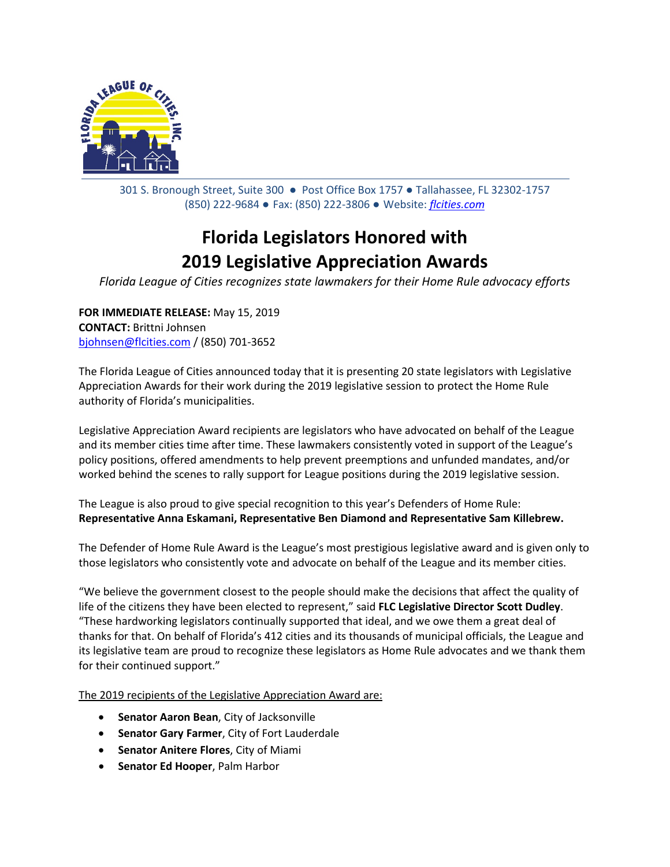

301 S. Bronough Street, Suite 300 ● Post Office Box 1757 ● Tallahassee, FL 32302-1757 (850) 222-9684 ● Fax: (850) 222-3806 ● Website: *[flcities.com](http://www.flcities.com/)*

## **Florida Legislators Honored with 2019 Legislative Appreciation Awards**

*Florida League of Cities recognizes state lawmakers for their Home Rule advocacy efforts*

**FOR IMMEDIATE RELEASE:** May 15, 2019 **CONTACT:** Brittni Johnsen [bjohnsen@flcities.com](mailto:bjohnsen@flcities.com) / (850) 701-3652

The Florida League of Cities announced today that it is presenting 20 state legislators with Legislative Appreciation Awards for their work during the 2019 legislative session to protect the Home Rule authority of Florida's municipalities.

Legislative Appreciation Award recipients are legislators who have advocated on behalf of the League and its member cities time after time. These lawmakers consistently voted in support of the League's policy positions, offered amendments to help prevent preemptions and unfunded mandates, and/or worked behind the scenes to rally support for League positions during the 2019 legislative session.

The League is also proud to give special recognition to this year's Defenders of Home Rule: **Representative Anna Eskamani, Representative Ben Diamond and Representative Sam Killebrew.**

The Defender of Home Rule Award is the League's most prestigious legislative award and is given only to those legislators who consistently vote and advocate on behalf of the League and its member cities.

"We believe the government closest to the people should make the decisions that affect the quality of life of the citizens they have been elected to represent," said **FLC Legislative Director Scott Dudley**. "These hardworking legislators continually supported that ideal, and we owe them a great deal of thanks for that. On behalf of Florida's 412 cities and its thousands of municipal officials, the League and its legislative team are proud to recognize these legislators as Home Rule advocates and we thank them for their continued support."

The 2019 recipients of the Legislative Appreciation Award are:

- **Senator Aaron Bean**, City of Jacksonville
- **Senator Gary Farmer**, City of Fort Lauderdale
- **Senator Anitere Flores**, City of Miami
- **Senator Ed Hooper**, Palm Harbor